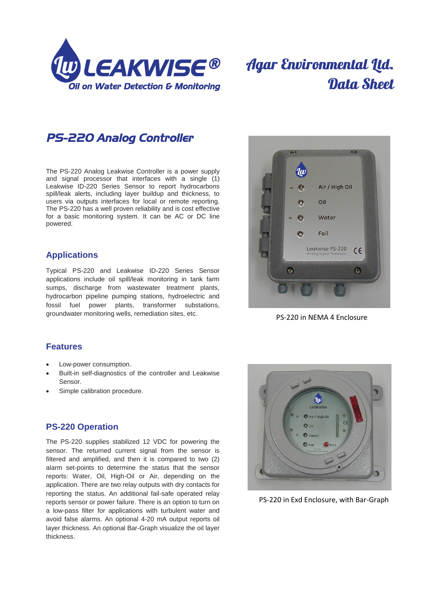

# **Agar Environmental Ltd.** Data Sheet

*PS-220 Analog Controller* 

The PS-220 Analog Leakwise Controller is a power supply and signal processor that interfaces with a single (1) Leakwise ID-220 Series Sensor to report hydrocarbons spill/leak alerts, including layer buildup and thickness, to users via outputs interfaces for local or remote reporting. The PS-220 has a well proven reliability and is cost effective for a basic monitoring system. It can be AC or DC line powered.

### **Applications**

Typical PS-220 and Leakwise ID-220 Series Sensor applications include oil spill/leak monitoring in tank farm sumps, discharge from wastewater treatment plants, hydrocarbon pipeline pumping stations, hydroelectric and fossil fuel power plants, transformer substations, groundwater monitoring wells, remediation sites, etc.



PS-220 in NEMA 4 Enclosure

#### **Features**

- Low-power consumption.
- Built-in self-diagnostics of the controller and Leakwise Sensor.
- Simple calibration procedure.

#### **PS-220 Operation**

The PS-220 supplies stabilized 12 VDC for powering the sensor. The returned current signal from the sensor is filtered and amplified, and then it is compared to two (2) alarm set-points to determine the status that the sensor reports: Water, Oil, High-Oil or Air, depending on the application. There are two relay outputs with dry contacts for reporting the status. An additional fail-safe operated relay reports sensor or power failure. There is an option to turn on a low-pass filter for applications with turbulent water and avoid false alarms. An optional 4-20 mA output reports oil layer thickness. An optional Bar-Graph visualize the oil layer thickness.



PS-220 in Exd Enclosure, with Bar-Graph